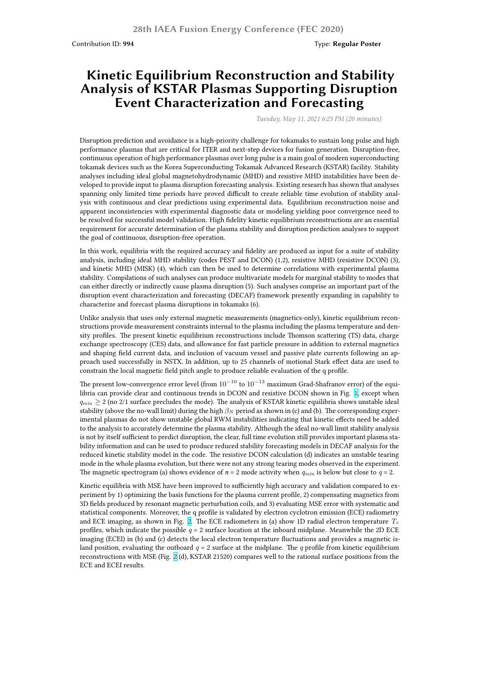## **Kinetic Equilibrium Reconstruction and Stability Analysis of KSTAR Plasmas Supporting Disruption Event Characterization and Forecasting**

*Tuesday, May 11, 2021 6:25 PM (20 minutes)*

Disruption prediction and avoidance is a high-priority challenge for tokamaks to sustain long pulse and high performance plasmas that are critical for ITER and next-step devices for fusion generation. Disruption-free, continuous operation of high performance plasmas over long pulse is a main goal of modern superconducting tokamak devices such as the Korea Superconducting Tokamak Advanced Research (KSTAR) facility. Stability analyses including ideal global magnetohydrodynamic (MHD) and resistive MHD instabilities have been developed to provide input to plasma disruption forecasting analysis. Existing research has shown that analyses spanning only limited time periods have proved difficult to create reliable time evolution of stability analysis with continuous and clear predictions using experimental data. Equilibrium reconstruction noise and apparent inconsistencies with experimental diagnostic data or modeling yielding poor convergence need to be resolved for successful model validation. High fidelity kinetic equilibrium reconstructions are an essential requirement for accurate determination of the plasma stability and disruption prediction analyses to support the goal of continuous, disruption-free operation.

In this work, equilibria with the required accuracy and fidelity are produced as input for a suite of stability analysis, including ideal MHD stability (codes PEST and DCON) (1,2), resistive MHD (resistive DCON) (3), and kinetic MHD (MISK) (4), which can then be used to determine correlations with experimental plasma stability. Compilations of such analyses can produce multivariate models for marginal stability to modes that can either directly or indirectly cause plasma disruption (5). Such analyses comprise an important part of the disruption event characterization and forecasting (DECAF) framework presently expanding in capability to characterize and forecast plasma disruptions in tokamaks (6).

Unlike analysis that uses only external magnetic measurements (magnetics-only), kinetic equilibrium reconstructions provide measurement constraints internal to the plasma including the plasma temperature and density profiles. The present kinetic equilibrium reconstructions include Thomson scattering (TS) data, charge exchange spectroscopy (CES) data, and allowance for fast particle pressure in addition to external magnetics and shaping field current data, and inclusion of vacuum vessel and passive plate currents following an approach used successfully in NSTX. In addition, up to 25 channels of motional Stark effect data are used to constrain the local magnetic field pitch angle to produce reliable evaluation of the q profile.

The present low-convergence error level (from 10*−*<sup>10</sup> to 10*−*<sup>13</sup> maximum Grad-Shafranov error) of the equilibria can provide clear and continuous trends in DCON and resistive DCON shown in Fig. 1, except when *qmin ≥* 2 (no 2/1 surface precludes the mode). The analysis of KSTAR kinetic equilibria shows unstable ideal stability (above the no-wall limit) during the high *β<sup>N</sup>* period as shown in (c) and (b). The corresponding experimental plasmas do not show unstable global RWM instabilities indicating that kinetic effects need be added to the analysis to accurately determine the plasma stability. Although the ideal no-wall limit stability analysis is not by itself sufficient to predict disruption, the clear, full time evolution still provides impor[ta](https://nstx.pppl.gov/DragNDrop/Scientific_Conferences/IAEA/IAEA_2020/Synopses/Figures/Jiang.Y.IAEA2020.Fig1.jpg)nt plasma stability information and can be used to produce reduced stability forecasting models in DECAF analysis for the reduced kinetic stability model in the code. The resistive DCON calculation (d) indicates an unstable tearing mode in the whole plasma evolution, but there were not any strong tearing modes observed in the experiment. The magnetic spectrogram (a) shows evidence of  $n = 2$  mode activity when  $q_{min}$  is below but close to  $q = 2$ .

Kinetic equilibria with MSE have been improved to sufficiently high accuracy and validation compared to experiment by 1) optimizing the basis functions for the plasma current profile, 2) compensating magnetics from 3D fields produced by resonant magnetic perturbation coils, and 3) evaluating MSE error with systematic and statistical components. Moreover, the q profile is validated by electron cyclotron emission (ECE) radiometry and ECE imaging, as shown in Fig. 2. The ECE radiometers in (a) show 1D radial electron temperature *T<sup>e</sup>* profiles, which indicate the possible  $q = 2$  surface location at the inboard midplane. Meanwhile the 2D ECE imaging (ECEI) in (b) and (c) detects the local electron temperature fluctuations and provides a magnetic island position, evaluating the outboard  $q = 2$  surface at the midplane. The *q* profile from kinetic equilibrium reconstructions with MSE (Fig. 2 (d)[, K](https://nstx.pppl.gov/DragNDrop/Scientific_Conferences/IAEA/IAEA_2020/Synopses/Figures/Jiang.Y.IAEA2020.Fig2.jpg)STAR 21520) compares well to the rational surface positions from the ECE and ECEI results.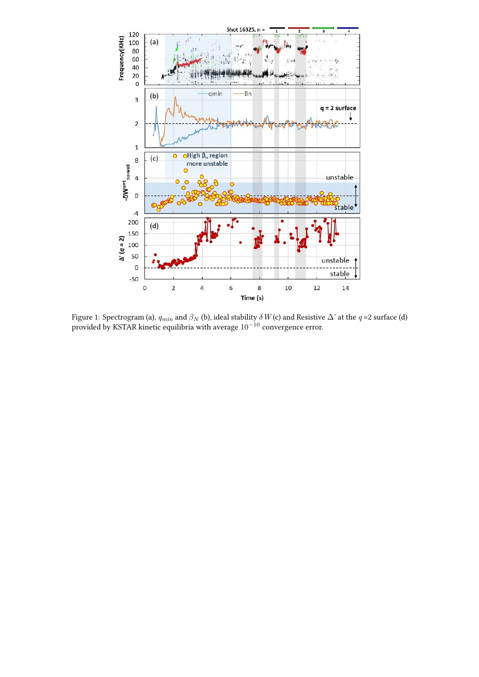

Figure 1: Spectrogram (a),  $q_{min}$  and  $\beta_N$  (b), ideal stability  $\delta$   $W$  (c) and Resistive  $\Delta$ ' at the  $q$  =2 surface (d) provided by KSTAR kinetic equilibria with average 10*−*<sup>10</sup> convergence error.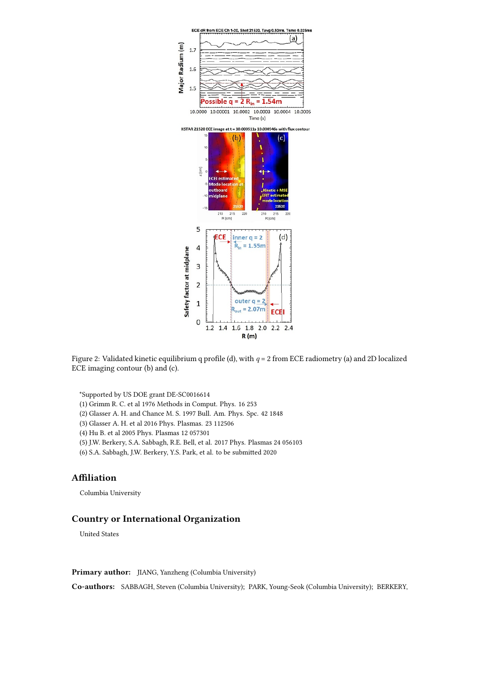

Figure 2: Validated kinetic equilibrium q profile (d), with *q* = 2 from ECE radiometry (a) and 2D localized ECE imaging contour (b) and (c).

\*Supported by US DOE grant DE-SC0016614

- (1) Grimm R. C. et al 1976 Methods in Comput. Phys. 16 253
- (2) Glasser A. H. and Chance M. S. 1997 Bull. Am. Phys. Spc. 42 1848
- (3) Glasser A. H. et al 2016 Phys. Plasmas. 23 112506
- (4) Hu B. et al 2005 Phys. Plasmas 12 057301
- (5) J.W. Berkery, S.A. Sabbagh, R.E. Bell, et al. 2017 Phys. Plasmas 24 056103
- (6) S.A. Sabbagh, J.W. Berkery, Y.S. Park, et al. to be submitted 2020

## **Affiliation**

Columbia University

## **Country or International Organization**

United States

**Primary author:** JIANG, Yanzheng (Columbia University)

**Co-authors:** SABBAGH, Steven (Columbia University); PARK, Young-Seok (Columbia University); BERKERY,